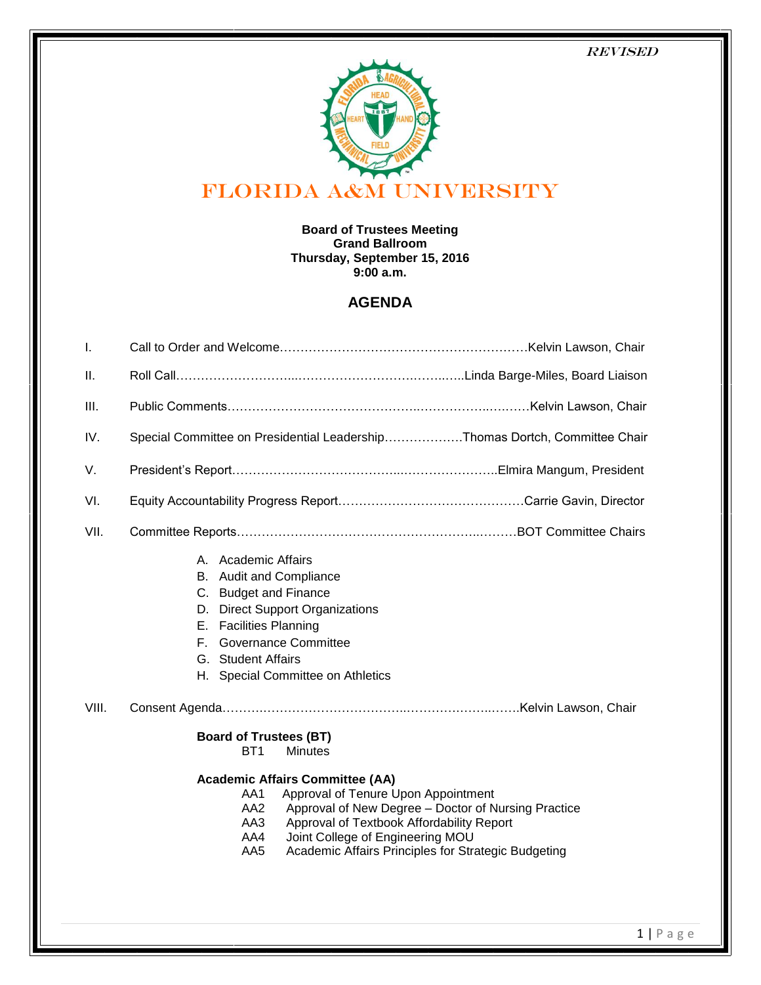### Revised



#### **Board of Trustees Meeting Grand Ballroom Thursday, September 15, 2016 9:00 a.m.**

# **AGENDA**

| I.    |                                                                                                                                                                                                                                                                                                                 |
|-------|-----------------------------------------------------------------------------------------------------------------------------------------------------------------------------------------------------------------------------------------------------------------------------------------------------------------|
| Ш.    |                                                                                                                                                                                                                                                                                                                 |
| III.  |                                                                                                                                                                                                                                                                                                                 |
| IV.   | Special Committee on Presidential LeadershipThomas Dortch, Committee Chair                                                                                                                                                                                                                                      |
| V.    |                                                                                                                                                                                                                                                                                                                 |
| VI.   |                                                                                                                                                                                                                                                                                                                 |
| VII.  |                                                                                                                                                                                                                                                                                                                 |
|       | A. Academic Affairs<br>B. Audit and Compliance<br>C. Budget and Finance<br><b>Direct Support Organizations</b><br>D.<br>E. Facilities Planning<br><b>Governance Committee</b><br>F.<br>G. Student Affairs<br>H. Special Committee on Athletics                                                                  |
| VIII. |                                                                                                                                                                                                                                                                                                                 |
|       | <b>Board of Trustees (BT)</b><br><b>Minutes</b><br>BT1                                                                                                                                                                                                                                                          |
|       | <b>Academic Affairs Committee (AA)</b><br>Approval of Tenure Upon Appointment<br>AA1<br>Approval of New Degree - Doctor of Nursing Practice<br>AA2<br>Approval of Textbook Affordability Report<br>AA3<br>Joint College of Engineering MOU<br>AA4<br>Academic Affairs Principles for Strategic Budgeting<br>AA5 |